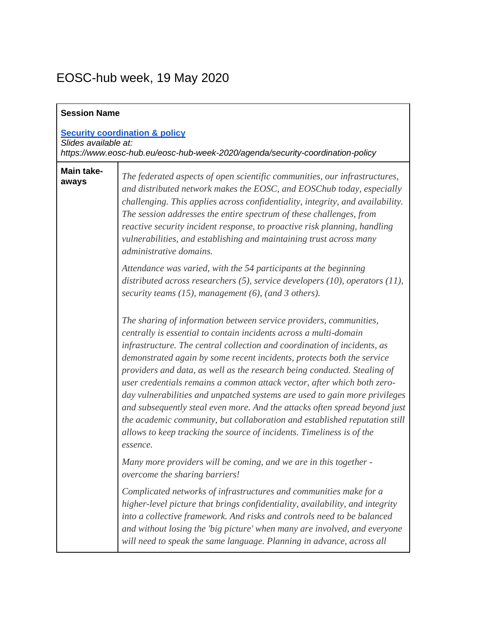## EOSC-hub week, 19 May 2020

| <b>Session Name</b>                                                                                                                                 |                                                                                                                                                                                                                                                                                                                                                                                                                                                                                                                                                                                                                                                                                                                                                                                     |  |
|-----------------------------------------------------------------------------------------------------------------------------------------------------|-------------------------------------------------------------------------------------------------------------------------------------------------------------------------------------------------------------------------------------------------------------------------------------------------------------------------------------------------------------------------------------------------------------------------------------------------------------------------------------------------------------------------------------------------------------------------------------------------------------------------------------------------------------------------------------------------------------------------------------------------------------------------------------|--|
| <b>Security coordination &amp; policy</b><br>Slides available at:<br>https://www.eosc-hub.eu/eosc-hub-week-2020/agenda/security-coordination-policy |                                                                                                                                                                                                                                                                                                                                                                                                                                                                                                                                                                                                                                                                                                                                                                                     |  |
| <b>Main take-</b><br>aways                                                                                                                          | The federated aspects of open scientific communities, our infrastructures,<br>and distributed network makes the EOSC, and EOSChub today, especially<br>challenging. This applies across confidentiality, integrity, and availability.<br>The session addresses the entire spectrum of these challenges, from<br>reactive security incident response, to proactive risk planning, handling<br>vulnerabilities, and establishing and maintaining trust across many<br>administrative domains.                                                                                                                                                                                                                                                                                         |  |
|                                                                                                                                                     | Attendance was varied, with the 54 participants at the beginning<br>distributed across researchers (5), service developers (10), operators (11),<br>security teams $(15)$ , management $(6)$ , (and 3 others).                                                                                                                                                                                                                                                                                                                                                                                                                                                                                                                                                                      |  |
|                                                                                                                                                     | The sharing of information between service providers, communities,<br>centrally is essential to contain incidents across a multi-domain<br>infrastructure. The central collection and coordination of incidents, as<br>demonstrated again by some recent incidents, protects both the service<br>providers and data, as well as the research being conducted. Stealing of<br>user credentials remains a common attack vector, after which both zero-<br>day vulnerabilities and unpatched systems are used to gain more privileges<br>and subsequently steal even more. And the attacks often spread beyond just<br>the academic community, but collaboration and established reputation still<br>allows to keep tracking the source of incidents. Timeliness is of the<br>essence. |  |
|                                                                                                                                                     | Many more providers will be coming, and we are in this together -<br>overcome the sharing barriers!                                                                                                                                                                                                                                                                                                                                                                                                                                                                                                                                                                                                                                                                                 |  |
|                                                                                                                                                     | Complicated networks of infrastructures and communities make for a<br>higher-level picture that brings confidentiality, availability, and integrity<br>into a collective framework. And risks and controls need to be balanced<br>and without losing the 'big picture' when many are involved, and everyone<br>will need to speak the same language. Planning in advance, across all                                                                                                                                                                                                                                                                                                                                                                                                |  |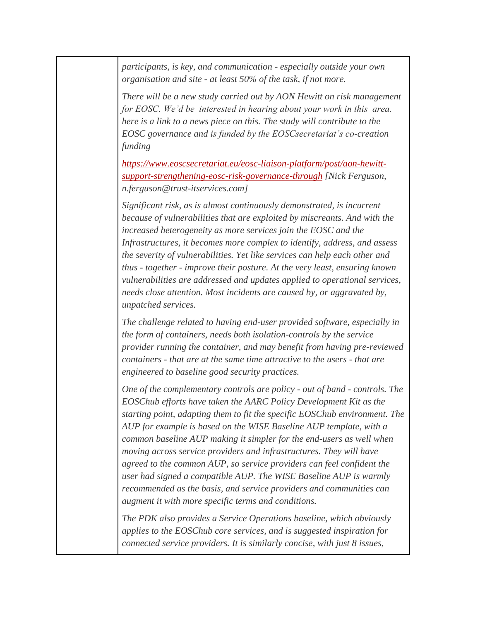*participants, is key, and communication - especially outside your own organisation and site - at least 50% of the task, if not more.* 

*There will be a new study carried out by AON Hewitt on risk management for EOSC. We'd be interested in hearing about your work in this area. here is a link to a news piece on this. The study will contribute to the EOSC governance and is funded by the EOSCsecretariat's co-creation funding*

*[https://www.eoscsecretariat.eu/eosc-liaison-platform/post/aon-hewitt](https://www.eoscsecretariat.eu/eosc-liaison-platform/post/aon-hewitt-support-strengthening-eosc-risk-governance-through)[support-strengthening-eosc-risk-governance-through](https://www.eoscsecretariat.eu/eosc-liaison-platform/post/aon-hewitt-support-strengthening-eosc-risk-governance-through) [Nick Ferguson, n.ferguson@trust-itservices.com]*

*Significant risk, as is almost continuously demonstrated, is incurrent because of vulnerabilities that are exploited by miscreants. And with the increased heterogeneity as more services join the EOSC and the Infrastructures, it becomes more complex to identify, address, and assess the severity of vulnerabilities. Yet like services can help each other and thus - together - improve their posture. At the very least, ensuring known vulnerabilities are addressed and updates applied to operational services, needs close attention. Most incidents are caused by, or aggravated by, unpatched services.*

*The challenge related to having end-user provided software, especially in the form of containers, needs both isolation-controls by the service provider running the container, and may benefit from having pre-reviewed containers - that are at the same time attractive to the users - that are engineered to baseline good security practices.*

*One of the complementary controls are policy - out of band - controls. The EOSChub efforts have taken the AARC Policy Development Kit as the starting point, adapting them to fit the specific EOSChub environment. The AUP for example is based on the WISE Baseline AUP template, with a common baseline AUP making it simpler for the end-users as well when moving across service providers and infrastructures. They will have agreed to the common AUP, so service providers can feel confident the user had signed a compatible AUP. The WISE Baseline AUP is warmly recommended as the basis, and service providers and communities can augment it with more specific terms and conditions.* 

*The PDK also provides a Service Operations baseline, which obviously applies to the EOSChub core services, and is suggested inspiration for connected service providers. It is similarly concise, with just 8 issues,*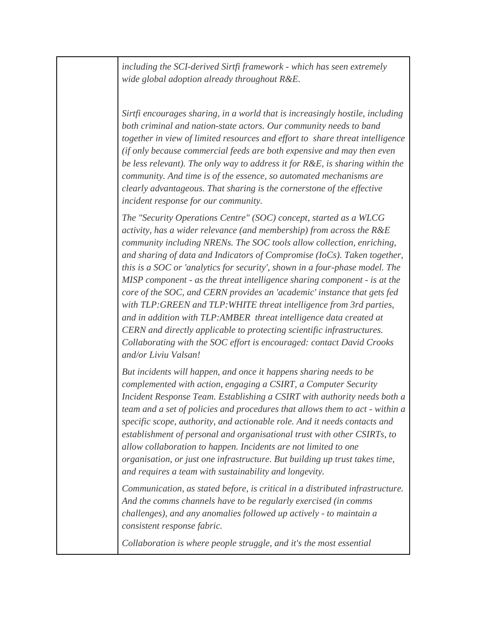*including the SCI-derived Sirtfi framework - which has seen extremely wide global adoption already throughout R&E.*

*Sirtfi encourages sharing, in a world that is increasingly hostile, including both criminal and nation-state actors. Our community needs to band together in view of limited resources and effort to share threat intelligence (if only because commercial feeds are both expensive and may then even be less relevant). The only way to address it for R&E, is sharing within the community. And time is of the essence, so automated mechanisms are clearly advantageous. That sharing is the cornerstone of the effective incident response for our community.* 

*The "Security Operations Centre" (SOC) concept, started as a WLCG activity, has a wider relevance (and membership) from across the R&E community including NRENs. The SOC tools allow collection, enriching, and sharing of data and Indicators of Compromise (IoCs). Taken together, this is a SOC or 'analytics for security', shown in a four-phase model. The MISP component - as the threat intelligence sharing component - is at the core of the SOC, and CERN provides an 'academic' instance that gets fed with TLP:GREEN and TLP:WHITE threat intelligence from 3rd parties, and in addition with TLP:AMBER threat intelligence data created at CERN and directly applicable to protecting scientific infrastructures. Collaborating with the SOC effort is encouraged: contact David Crooks and/or Liviu Valsan!*

*But incidents will happen, and once it happens sharing needs to be complemented with action, engaging a CSIRT, a Computer Security Incident Response Team. Establishing a CSIRT with authority needs both a team and a set of policies and procedures that allows them to act - within a specific scope, authority, and actionable role. And it needs contacts and establishment of personal and organisational trust with other CSIRTs, to allow collaboration to happen. Incidents are not limited to one organisation, or just one infrastructure. But building up trust takes time, and requires a team with sustainability and longevity.* 

*Communication, as stated before, is critical in a distributed infrastructure. And the comms channels have to be regularly exercised (in comms challenges), and any anomalies followed up actively - to maintain a consistent response fabric.*

*Collaboration is where people struggle, and it's the most essential*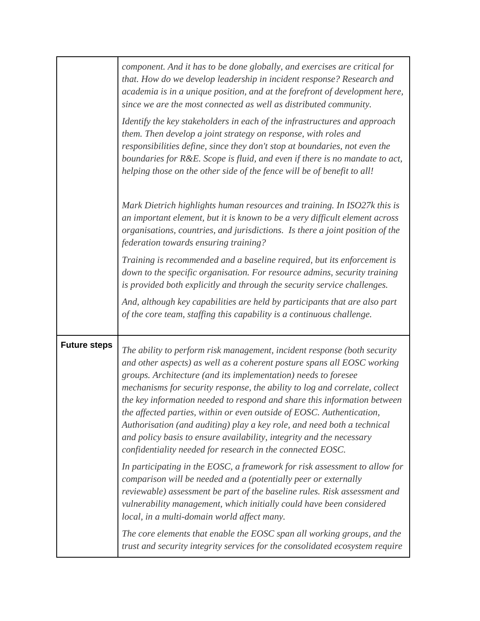|                     | component. And it has to be done globally, and exercises are critical for<br>that. How do we develop leadership in incident response? Research and<br>academia is in a unique position, and at the forefront of development here,<br>since we are the most connected as well as distributed community.<br>Identify the key stakeholders in each of the infrastructures and approach<br>them. Then develop a joint strategy on response, with roles and<br>responsibilities define, since they don't stop at boundaries, not even the<br>boundaries for R&E. Scope is fluid, and even if there is no mandate to act,<br>helping those on the other side of the fence will be of benefit to all! |
|---------------------|------------------------------------------------------------------------------------------------------------------------------------------------------------------------------------------------------------------------------------------------------------------------------------------------------------------------------------------------------------------------------------------------------------------------------------------------------------------------------------------------------------------------------------------------------------------------------------------------------------------------------------------------------------------------------------------------|
|                     | Mark Dietrich highlights human resources and training. In ISO27k this is<br>an important element, but it is known to be a very difficult element across<br>organisations, countries, and jurisdictions. Is there a joint position of the<br>federation towards ensuring training?                                                                                                                                                                                                                                                                                                                                                                                                              |
|                     | Training is recommended and a baseline required, but its enforcement is<br>down to the specific organisation. For resource admins, security training<br>is provided both explicitly and through the security service challenges.                                                                                                                                                                                                                                                                                                                                                                                                                                                               |
|                     | And, although key capabilities are held by participants that are also part<br>of the core team, staffing this capability is a continuous challenge.                                                                                                                                                                                                                                                                                                                                                                                                                                                                                                                                            |
| <b>Future steps</b> | The ability to perform risk management, incident response (both security<br>and other aspects) as well as a coherent posture spans all EOSC working<br>groups. Architecture (and its implementation) needs to foresee<br>mechanisms for security response, the ability to log and correlate, collect<br>the key information needed to respond and share this information between<br>the affected parties, within or even outside of EOSC. Authentication,<br>Authorisation (and auditing) play a key role, and need both a technical<br>and policy basis to ensure availability, integrity and the necessary<br>confidentiality needed for research in the connected EOSC.                     |
|                     | In participating in the EOSC, a framework for risk assessment to allow for<br>comparison will be needed and a (potentially peer or externally<br>reviewable) assessment be part of the baseline rules. Risk assessment and<br>vulnerability management, which initially could have been considered<br>local, in a multi-domain world affect many.                                                                                                                                                                                                                                                                                                                                              |
|                     | The core elements that enable the EOSC span all working groups, and the<br>trust and security integrity services for the consolidated ecosystem require                                                                                                                                                                                                                                                                                                                                                                                                                                                                                                                                        |